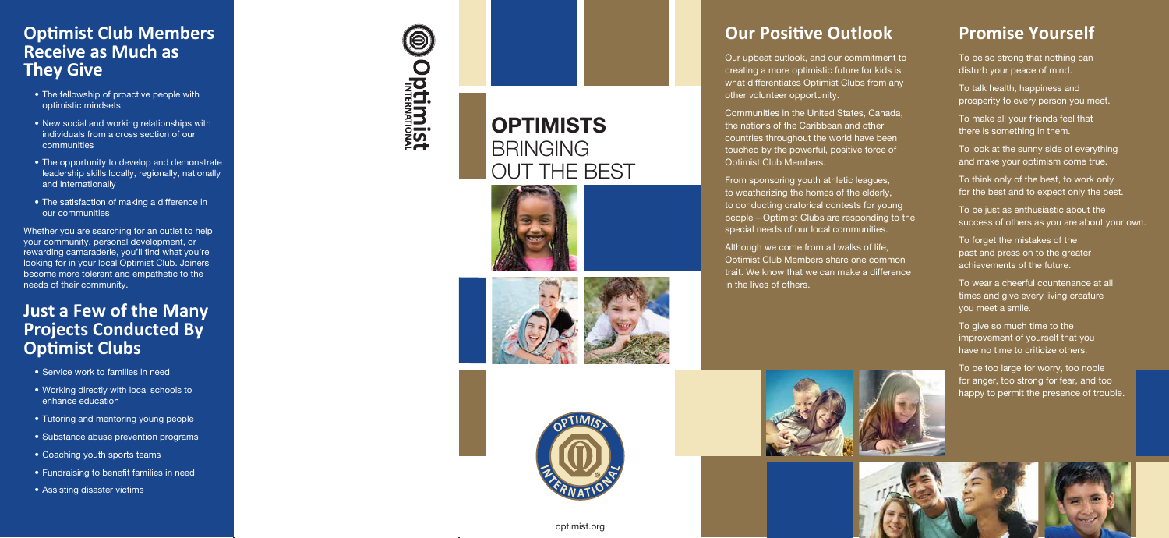optimist.org

## **Promise Yourself**

To be so strong that nothing can disturb your peace of mind.

To talk health, happiness and prosperity to every person you meet.

To make all your friends feel that there is something in them.

To look at the sunny side of everything and make your optimism come true.

To think only of the best, to work only for the best and to expect only the best.

To be just as enthusiastic about the success of others as you are about your own.

To forget the mistakes of the past and press on to the greater achievements of the future.

To wear a cheerful countenance at all times and give every living creature you meet a smile.

From sponsoring youth athletic leagues, to weatherizing the homes of the elderly, to conducting oratorical contests for young people – Optimist Clubs are responding to the special needs of our local communities.

> To give so much time to the improvement of yourself that you have no time to criticize others.

To be too large for worry, too noble for anger, too strong for fear, and too happy to permit the presence of trouble.



## **Our Positive Outlook**

Our upbeat outlook, and our commitment to creating a more optimistic future for kids is what differentiates Optimist Clubs from any other volunteer opportunity.

Communities in the United States, Canada, the nations of the Caribbean and other countries throughout the world have been touched by the powerful, positive force of Optimist Club Members.

Although we come from all walks of life, Optimist Club Members share one common trait. We know that we can make a difference



in the lives of others.



## **Optimist Club Members Receive as Much as They Give**

- The fellowship of proactive people with optimistic mindsets
- New social and working relationships with individuals from a cross section of our communities
- The opportunity to develop and demonstrate leadership skills locally, regionally, nationally and internationally
- The satisfaction of making a difference in our communities

Whether you are searching for an outlet to help your community, personal development, or rewarding camaraderie, you'll find what you're looking for in your local Optimist Club. Joiners become more tolerant and empathetic to the needs of their community.

### **Just a Few of the Many Projects Conducted By Optimist Clubs**

- Service work to families in need
- Working directly with local schools to enhance education
- Tutoring and mentoring young people
- Substance abuse prevention programs
- Coaching youth sports teams
- Fundraising to benefit families in need
- Assisting disaster victims

# $\bigcirc$ **Optimist**

## **OPTIMISTS** BRINGING OUT THE BEST